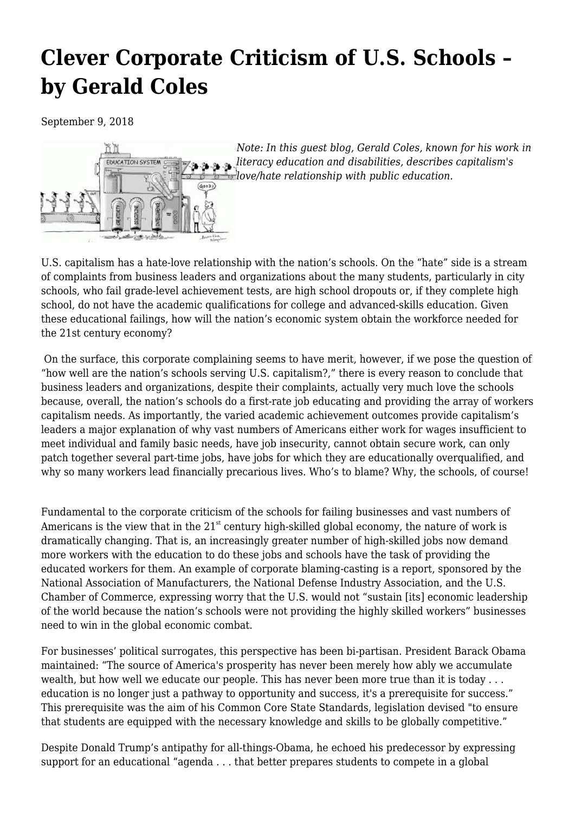## **[Clever Corporate Criticism of U.S. Schools –](https://newpol.org/clever-corporate-criticism-us-schools-gerald-coles/) [by Gerald Coles](https://newpol.org/clever-corporate-criticism-us-schools-gerald-coles/)**

September 9, 2018



*Note: In this guest blog, Gerald Coles, known for his [work in](https://www.heinemann.com/authors/1411.aspx) [literacy education and disabilities,](https://www.heinemann.com/authors/1411.aspx) describes capitalism's love/hate relationship with public education.*

U.S. capitalism has a hate-love relationship with the nation's schools. On the "hate" side is a stream of complaints from business leaders and organizations about the many students, particularly in city schools, who fail grade-level achievement tests, are high school dropouts or, if they complete high school, do not have the academic qualifications for college and advanced-skills education. Given these educational failings, how will the nation's economic system obtain the workforce needed for the 21st century economy?

 On the surface, this corporate complaining seems to have merit, however, if we pose the question of "how well are the nation's schools serving U.S. capitalism?," there is every reason to conclude that business leaders and organizations, despite their complaints, actually very much love the schools because, overall, the nation's schools do a first-rate job educating and providing the array of workers capitalism needs. As importantly, the varied academic achievement outcomes provide capitalism's leaders a major explanation of why vast numbers of Americans either work for wages insufficient to meet individual and family basic needs, have job insecurity, cannot obtain secure work, can only patch together several part-time jobs, have jobs for which they are educationally overqualified, and why so many workers lead financially precarious lives. Who's to blame? Why, the schools, of course!

Fundamental to the corporate criticism of the schools for failing businesses and vast numbers of Americans is the view that in the  $21^{st}$  century high-skilled global economy, the nature of work is dramatically changing. That is, an increasingly greater number of high-skilled jobs now demand more workers with the education to do these jobs and schools have the task of providing the educated workers for them. An example of corporate blaming-casting is a report, sponsored by the National Association of Manufacturers, the National Defense Industry Association, and the U.S. Chamber of Commerce, expressing worry that the U.S. would not "sustain [its] economic leadership of the world because the nation's schools were not providing the highly skilled workers" businesses need to win in the global economic combat.

For businesses' political surrogates, this perspective has been bi-partisan. President Barack Obama maintained: "The source of America's prosperity has never been merely how ably we accumulate wealth, but how well we educate our people. This has never been more true than it is today . . . education is no longer just a pathway to opportunity and success, it's a prerequisite for success." This prerequisite was the aim of his Common Core State Standards, legislation devised "to ensure that students are equipped with the necessary knowledge and skills to be globally competitive."

Despite Donald Trump's antipathy for all-things-Obama, he echoed his predecessor by expressing support for an educational "agenda . . . that better prepares students to compete in a global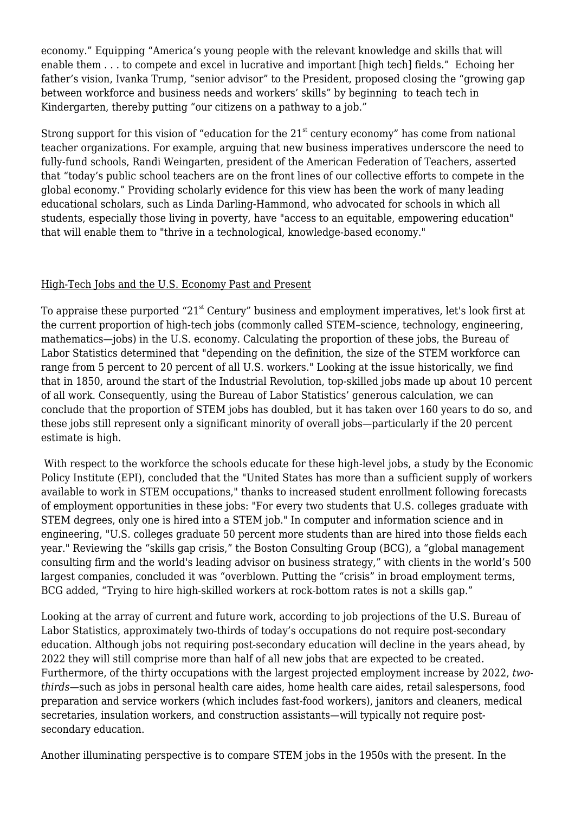economy." Equipping "America's young people with the relevant knowledge and skills that will enable them . . . to compete and excel in lucrative and important [high tech] fields." Echoing her father's vision, Ivanka Trump, "senior advisor" to the President, proposed closing the "growing gap between workforce and business needs and workers' skills" by beginning to teach tech in Kindergarten, thereby putting "our citizens on a pathway to a job."

Strong support for this vision of "education for the  $21<sup>st</sup>$  century economy" has come from national teacher organizations. For example, arguing that new business imperatives underscore the need to fully-fund schools, Randi Weingarten, president of the American Federation of Teachers, asserted that "today's public school teachers are on the front lines of our collective efforts to compete in the global economy." Providing scholarly evidence for this view has been the work of many leading educational scholars, such as Linda Darling-Hammond, who advocated for schools in which all students, especially those living in poverty, have "access to an equitable, empowering education" that will enable them to "thrive in a technological, knowledge-based economy."

## High-Tech Jobs and the U.S. Economy Past and Present

To appraise these purported "21<sup>st</sup> Century" business and employment imperatives, let's look first at the current proportion of high-tech jobs (commonly called STEM–science, technology, engineering, mathematics—jobs) in the U.S. economy. Calculating the proportion of these jobs, the Bureau of Labor Statistics determined that "depending on the definition, the size of the STEM workforce can range from 5 percent to 20 percent of all U.S. workers." Looking at the issue historically, we find that in 1850, around the start of the Industrial Revolution, top-skilled jobs made up about 10 percent of all work. Consequently, using the Bureau of Labor Statistics' generous calculation, we can conclude that the proportion of STEM jobs has doubled, but it has taken over 160 years to do so, and these jobs still represent only a significant minority of overall jobs—particularly if the 20 percent estimate is high.

 With respect to the workforce the schools educate for these high-level jobs, a study by the Economic Policy Institute (EPI), concluded that the "United States has more than a sufficient supply of workers available to work in STEM occupations," thanks to increased student enrollment following forecasts of employment opportunities in these jobs: "For every two students that U.S. colleges graduate with STEM degrees, only one is hired into a STEM job." In computer and information science and in engineering, "U.S. colleges graduate 50 percent more students than are hired into those fields each year." Reviewing the "skills gap crisis," the Boston Consulting Group (BCG), a "global management consulting firm and the world's leading advisor on business strategy," with clients in the world's 500 largest companies, concluded it was "overblown. Putting the "crisis" in broad employment terms, BCG added, "Trying to hire high-skilled workers at rock-bottom rates is not a skills gap."

Looking at the array of current and future work, according to job projections of the U.S. Bureau of Labor Statistics, approximately two-thirds of today's occupations do not require post-secondary education. Although jobs not requiring post-secondary education will decline in the years ahead, by 2022 they will still comprise more than half of all new jobs that are expected to be created. Furthermore, of the thirty occupations with the largest projected employment increase by 2022, *twothirds*—such as jobs in personal health care aides, home health care aides, retail salespersons, food preparation and service workers (which includes fast-food workers), janitors and cleaners, medical secretaries, insulation workers, and construction assistants—will typically not require postsecondary education.

Another illuminating perspective is to compare STEM jobs in the 1950s with the present. In the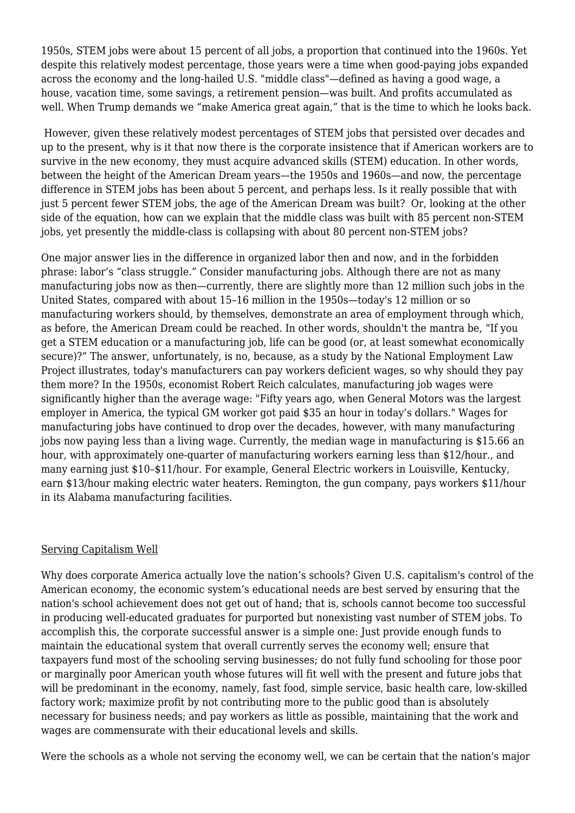1950s, STEM jobs were about 15 percent of all jobs, a proportion that continued into the 1960s. Yet despite this relatively modest percentage, those years were a time when good-paying jobs expanded across the economy and the long-hailed U.S. "middle class"—defined as having a good wage, a house, vacation time, some savings, a retirement pension—was built. And profits accumulated as well. When Trump demands we "make America great again," that is the time to which he looks back.

 However, given these relatively modest percentages of STEM jobs that persisted over decades and up to the present, why is it that now there is the corporate insistence that if American workers are to survive in the new economy, they must acquire advanced skills (STEM) education. In other words, between the height of the American Dream years—the 1950s and 1960s—and now, the percentage difference in STEM jobs has been about 5 percent, and perhaps less. Is it really possible that with just 5 percent fewer STEM jobs, the age of the American Dream was built? Or, looking at the other side of the equation, how can we explain that the middle class was built with 85 percent non-STEM jobs, yet presently the middle-class is collapsing with about 80 percent non-STEM jobs?

One major answer lies in the difference in organized labor then and now, and in the forbidden phrase: labor's "class struggle." Consider manufacturing jobs. Although there are not as many manufacturing jobs now as then—currently, there are slightly more than 12 million such jobs in the United States, compared with about 15–16 million in the 1950s—today's 12 million or so manufacturing workers should, by themselves, demonstrate an area of employment through which, as before, the American Dream could be reached. In other words, shouldn't the mantra be, "If you get a STEM education or a manufacturing job, life can be good (or, at least somewhat economically secure)?" The answer, unfortunately, is no, because, as a study by the National Employment Law Project illustrates, today's manufacturers can pay workers deficient wages, so why should they pay them more? In the 1950s, economist Robert Reich calculates, manufacturing job wages were significantly higher than the average wage: "Fifty years ago, when General Motors was the largest employer in America, the typical GM worker got paid \$35 an hour in today's dollars." Wages for manufacturing jobs have continued to drop over the decades, however, with many manufacturing jobs now paying less than a living wage. Currently, the median wage in manufacturing is \$15.66 an hour, with approximately one-quarter of manufacturing workers earning less than \$12/hour., and many earning just \$10–\$11/hour. For example, General Electric workers in Louisville, Kentucky, earn \$13/hour making electric water heaters. Remington, the gun company, pays workers \$11/hour in its Alabama manufacturing facilities.

## Serving Capitalism Well

Why does corporate America actually love the nation's schools? Given U.S. capitalism's control of the American economy, the economic system's educational needs are best served by ensuring that the nation's school achievement does not get out of hand; that is, schools cannot become too successful in producing well-educated graduates for purported but nonexisting vast number of STEM jobs. To accomplish this, the corporate successful answer is a simple one: Just provide enough funds to maintain the educational system that overall currently serves the economy well; ensure that taxpayers fund most of the schooling serving businesses; do not fully fund schooling for those poor or marginally poor American youth whose futures will fit well with the present and future jobs that will be predominant in the economy, namely, fast food, simple service, basic health care, low-skilled factory work; maximize profit by not contributing more to the public good than is absolutely necessary for business needs; and pay workers as little as possible, maintaining that the work and wages are commensurate with their educational levels and skills.

Were the schools as a whole not serving the economy well, we can be certain that the nation's major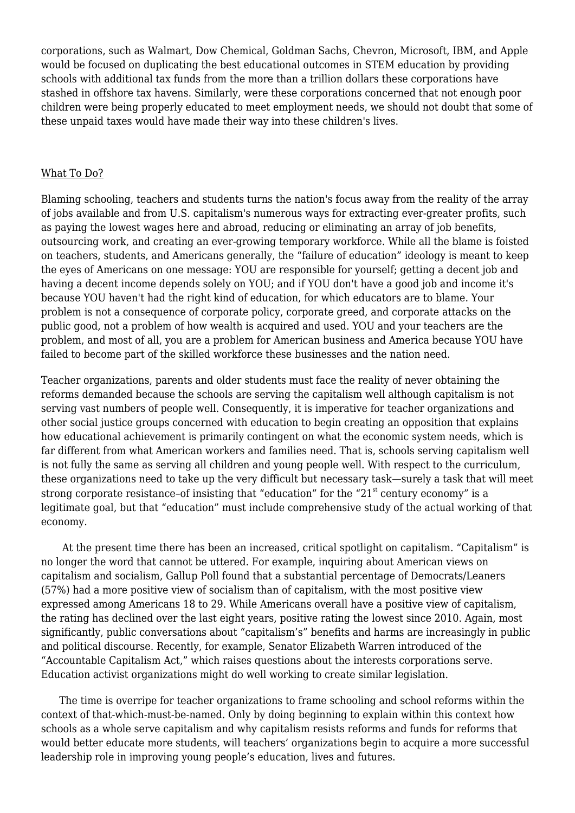corporations, such as Walmart, Dow Chemical, Goldman Sachs, Chevron, Microsoft, IBM, and Apple would be focused on duplicating the best educational outcomes in STEM education by providing schools with additional tax funds from the more than a trillion dollars these corporations have stashed in offshore tax havens. Similarly, were these corporations concerned that not enough poor children were being properly educated to meet employment needs, we should not doubt that some of these unpaid taxes would have made their way into these children's lives.

## What To Do?

Blaming schooling, teachers and students turns the nation's focus away from the reality of the array of jobs available and from U.S. capitalism's numerous ways for extracting ever-greater profits, such as paying the lowest wages here and abroad, reducing or eliminating an array of job benefits, outsourcing work, and creating an ever-growing temporary workforce. While all the blame is foisted on teachers, students, and Americans generally, the "failure of education" ideology is meant to keep the eyes of Americans on one message: YOU are responsible for yourself; getting a decent job and having a decent income depends solely on YOU; and if YOU don't have a good job and income it's because YOU haven't had the right kind of education, for which educators are to blame. Your problem is not a consequence of corporate policy, corporate greed, and corporate attacks on the public good, not a problem of how wealth is acquired and used. YOU and your teachers are the problem, and most of all, you are a problem for American business and America because YOU have failed to become part of the skilled workforce these businesses and the nation need.

Teacher organizations, parents and older students must face the reality of never obtaining the reforms demanded because the schools are serving the capitalism well although capitalism is not serving vast numbers of people well. Consequently, it is imperative for teacher organizations and other social justice groups concerned with education to begin creating an opposition that explains how educational achievement is primarily contingent on what the economic system needs, which is far different from what American workers and families need. That is, schools serving capitalism well is not fully the same as serving all children and young people well. With respect to the curriculum, these organizations need to take up the very difficult but necessary task—surely a task that will meet strong corporate resistance-of insisting that "education" for the "21 $^{\rm st}$  century economy" is a legitimate goal, but that "education" must include comprehensive study of the actual working of that economy.

 At the present time there has been an increased, critical spotlight on capitalism. "Capitalism" is no longer the word that cannot be uttered. For example, inquiring about American views on capitalism and socialism, Gallup Poll found that a substantial percentage of Democrats/Leaners (57%) had a more positive view of socialism than of capitalism, with the most positive view expressed among Americans 18 to 29. While Americans overall have a positive view of capitalism, the rating has declined over the last eight years, positive rating the lowest since 2010. Again, most significantly, public conversations about "capitalism's" benefits and harms are increasingly in public and political discourse. Recently, for example, Senator Elizabeth Warren introduced of the "Accountable Capitalism Act," which raises questions about the interests corporations serve. Education activist organizations might do well working to create similar legislation.

 The time is overripe for teacher organizations to frame schooling and school reforms within the context of that-which-must-be-named. Only by doing beginning to explain within this context how schools as a whole serve capitalism and why capitalism resists reforms and funds for reforms that would better educate more students, will teachers' organizations begin to acquire a more successful leadership role in improving young people's education, lives and futures.